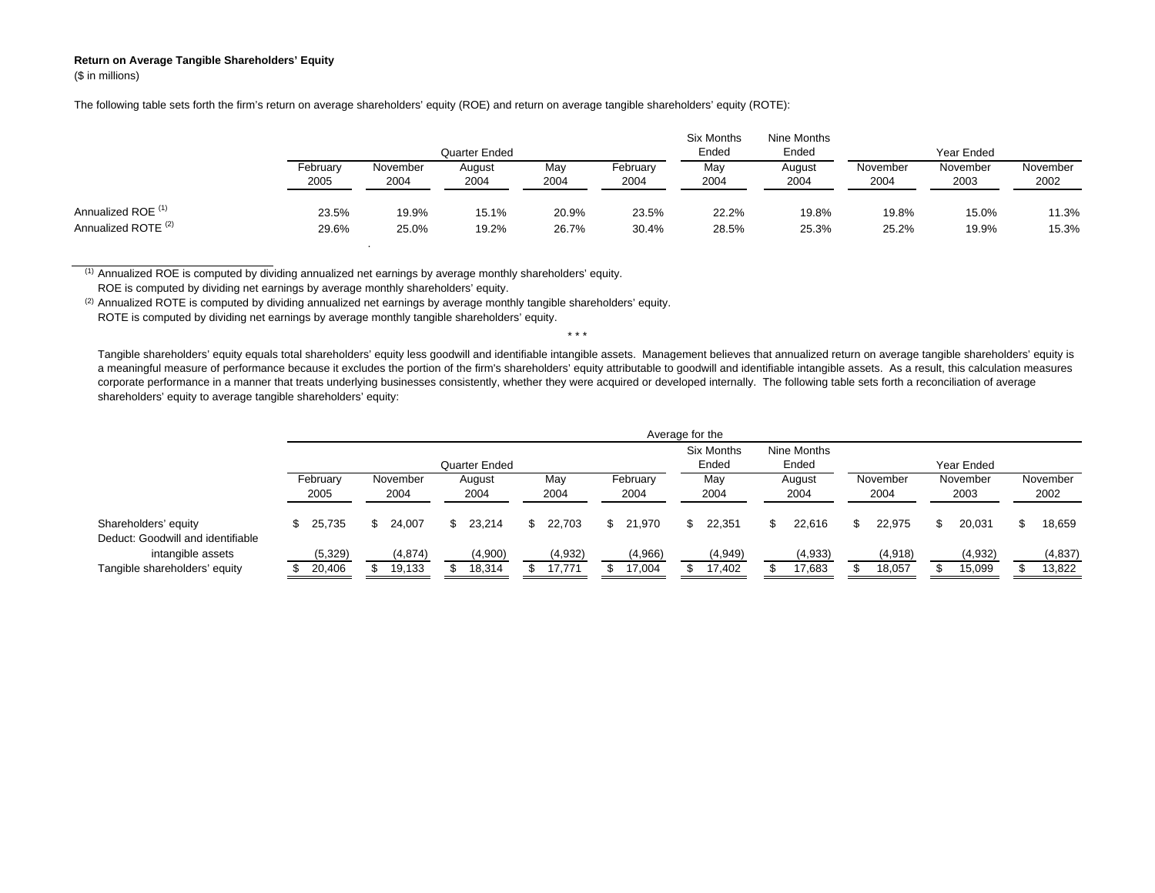## **Return on Average Tangible Shareholders' Equity** (\$ in millions)

The following table sets forth the firm's return on average shareholders' equity (ROE) and return on average tangible shareholders' equity (ROTE):

|                                |                  |                  | Quarter Ended  |             |                  | Six Months<br>Ended | Nine Months<br>Ended | Year Ended       |                  |                  |  |  |
|--------------------------------|------------------|------------------|----------------|-------------|------------------|---------------------|----------------------|------------------|------------------|------------------|--|--|
|                                | February<br>2005 | November<br>2004 | August<br>2004 | May<br>2004 | February<br>2004 | May<br>2004         | August<br>2004       | November<br>2004 | November<br>2003 | November<br>2002 |  |  |
| Annualized ROE <sup>(1)</sup>  | 23.5%            | 19.9%            | 15.1%          | 20.9%       | 23.5%            | 22.2%               | 19.8%                | 19.8%            | 15.0%            | 11.3%            |  |  |
| Annualized ROTE <sup>(2)</sup> | 29.6%            | 25.0%            | 19.2%          | 26.7%       | 30.4%            | 28.5%               | 25.3%                | 25.2%            | 19.9%            | 15.3%            |  |  |

(1) Annualized ROE is computed by dividing annualized net earnings by average monthly shareholders' equity.

.

ROE is computed by dividing net earnings by average monthly shareholders' equity.

(2) Annualized ROTE is computed by dividing annualized net earnings by average monthly tangible shareholders' equity.

ROTE is computed by dividing net earnings by average monthly tangible shareholders' equity.

Tangible shareholders' equity equals total shareholders' equity less goodwill and identifiable intangible assets. Management believes that annualized return on average tangible shareholders' equity is a meaningful measure of performance because it excludes the portion of the firm's shareholders' equity attributable to goodwill and identifiable intangible assets. As a result, this calculation measures corporate performance in a manner that treats underlying businesses consistently, whether they were acquired or developed internally. The following table sets forth a reconciliation of average shareholders' equity to average tangible shareholders' equity:

\* \* \*

|                                                           | Average for the  |                  |                |               |                  |                     |                      |                  |                  |                  |  |  |  |
|-----------------------------------------------------------|------------------|------------------|----------------|---------------|------------------|---------------------|----------------------|------------------|------------------|------------------|--|--|--|
|                                                           |                  |                  | Quarter Ended  |               |                  | Six Months<br>Ended | Nine Months<br>Ended | Year Ended       |                  |                  |  |  |  |
|                                                           | February<br>2005 | November<br>2004 | August<br>2004 | May<br>2004   | February<br>2004 | May<br>2004         | August<br>2004       | November<br>2004 | November<br>2003 | November<br>2002 |  |  |  |
| Shareholders' equity<br>Deduct: Goodwill and identifiable | 25.735           | 24.007<br>\$.    | 23.214<br>S.   | 22.703<br>\$. | 21.970<br>SS.    | 22.351<br>S.        | 22.616               | 22.975<br>\$.    | 20.031<br>\$.    | 18,659<br>S      |  |  |  |
| intangible assets                                         | (5,329)          | (4,874)          | (4,900)        | (4,932)       | (4,966)          | (4,949)             | (4,933)              | (4,918)          | (4,932)          | (4,837)          |  |  |  |
| Tangible shareholders' equity                             | 20,406           | 19,133           | 18,314         | 17.771        | 17,004           | 17,402              | 17,683               | 18,057           | 15,099           | 13,822           |  |  |  |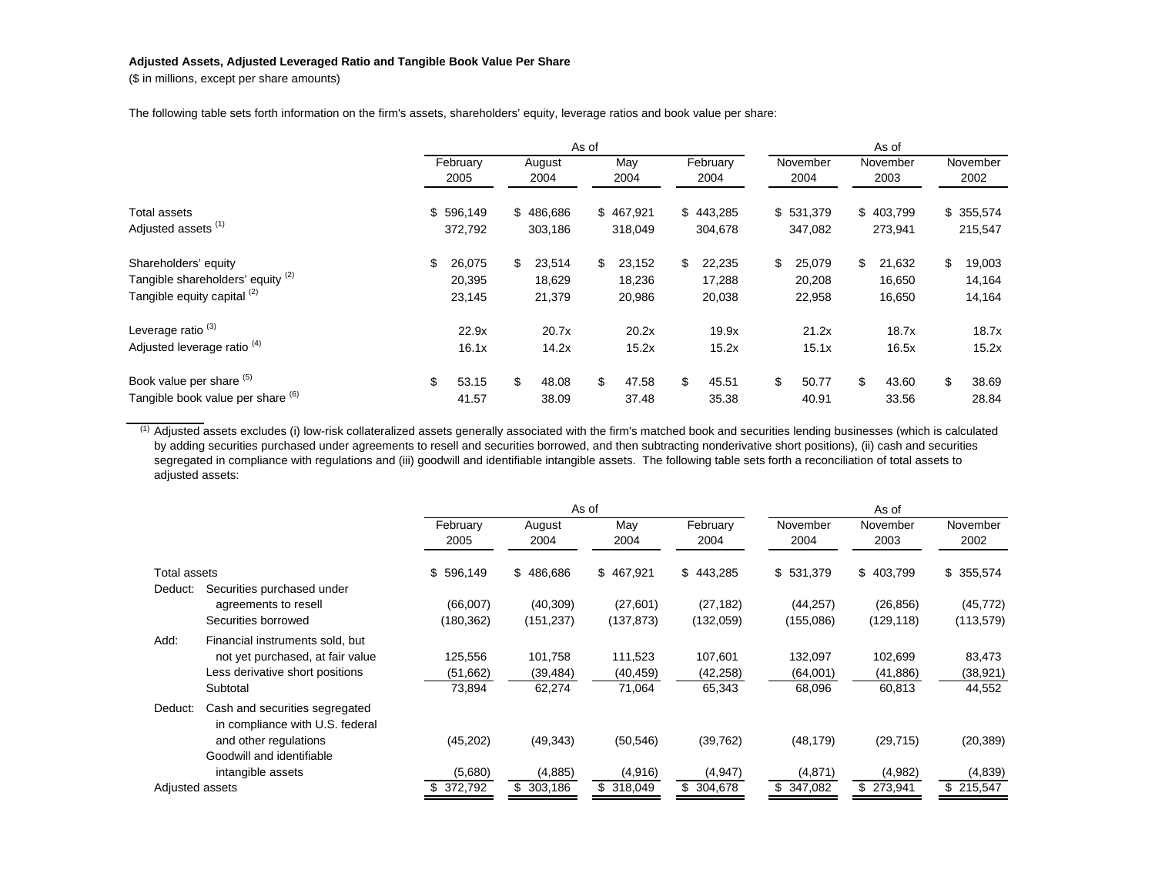## **Adjusted Assets, Adjusted Leveraged Ratio and Tangible Book Value Per Share**

(\$ in millions, except per share amounts)

The following table sets forth information on the firm's assets, shareholders' equity, leverage ratios and book value per share:

|                                                                                          |                  | As of                      |                |                            |             |                            |                  |                            | As of            |                            |                  |                            |                  |                            |
|------------------------------------------------------------------------------------------|------------------|----------------------------|----------------|----------------------------|-------------|----------------------------|------------------|----------------------------|------------------|----------------------------|------------------|----------------------------|------------------|----------------------------|
|                                                                                          | February<br>2005 |                            | August<br>2004 |                            | May<br>2004 |                            | February<br>2004 |                            | November<br>2004 |                            | November<br>2003 |                            | November<br>2002 |                            |
| <b>Total assets</b><br>Adjusted assets <sup>(1)</sup>                                    |                  | \$596,149<br>372,792       |                | \$486,686<br>303,186       |             | \$467,921<br>318,049       |                  | \$443,285<br>304,678       |                  | \$531,379<br>347,082       |                  | \$403,799<br>273,941       |                  | \$355,574<br>215,547       |
| Shareholders' equity<br>Tangible shareholders' equity (2)<br>Tangible equity capital (2) | \$               | 26,075<br>20,395<br>23,145 | \$             | 23,514<br>18,629<br>21,379 | \$          | 23,152<br>18,236<br>20,986 | \$               | 22,235<br>17,288<br>20,038 | \$               | 25,079<br>20,208<br>22,958 | \$               | 21,632<br>16,650<br>16,650 | \$               | 19,003<br>14,164<br>14,164 |
| Leverage ratio <sup>(3)</sup><br>Adjusted leverage ratio <sup>(4)</sup>                  |                  | 22.9x<br>16.1x             |                | 20.7x<br>14.2x             |             | 20.2x<br>15.2x             |                  | 19.9x<br>15.2x             |                  | 21.2x<br>15.1x             |                  | 18.7x<br>16.5x             |                  | 18.7x<br>15.2x             |
| Book value per share (5)<br>Tangible book value per share (6)                            | \$.              | 53.15<br>41.57             | \$             | 48.08<br>38.09             | \$          | 47.58<br>37.48             | \$               | 45.51<br>35.38             | \$               | 50.77<br>40.91             | \$               | 43.60<br>33.56             | \$               | 38.69<br>28.84             |

 $(1)$  Adjusted assets excludes (i) low-risk collateralized assets generally associated with the firm's matched book and securities lending businesses (which is calculated by adding securities purchased under agreements to resell and securities borrowed, and then subtracting nonderivative short positions), (ii) cash and securities segregated in compliance with regulations and (iii) goodwill and identifiable intangible assets. The following table sets forth a reconciliation of total assets to adjusted assets:

|                 |                                                                                                                                              |                               |                                | As of                          | As of                          |                               |                                |                               |  |  |  |
|-----------------|----------------------------------------------------------------------------------------------------------------------------------------------|-------------------------------|--------------------------------|--------------------------------|--------------------------------|-------------------------------|--------------------------------|-------------------------------|--|--|--|
|                 |                                                                                                                                              | February<br>2005              | August<br>2004                 | May<br>2004                    | February<br>2004               | November<br>2004              | November<br>2003               | November<br>2002              |  |  |  |
| Total assets    |                                                                                                                                              | \$596,149                     | \$486,686                      | 467,921<br>\$                  | \$443,285                      | \$531,379                     | \$403,799                      | \$355,574                     |  |  |  |
| Deduct:         | Securities purchased under<br>agreements to resell<br>Securities borrowed                                                                    | (66,007)<br>(180, 362)        | (40, 309)<br>(151, 237)        | (27,601)<br>(137, 873)         | (27, 182)<br>(132,059)         | (44, 257)<br>(155,086)        | (26, 856)<br>(129, 118)        | (45, 772)<br>(113, 579)       |  |  |  |
| Add:            | Financial instruments sold, but<br>not yet purchased, at fair value<br>Less derivative short positions<br>Subtotal                           | 125,556<br>(51,662)<br>73,894 | 101,758<br>(39, 484)<br>62,274 | 111,523<br>(40, 459)<br>71,064 | 107,601<br>(42, 258)<br>65,343 | 132,097<br>(64,001)<br>68,096 | 102,699<br>(41, 886)<br>60,813 | 83,473<br>(38, 921)<br>44,552 |  |  |  |
| Deduct:         | Cash and securities segregated<br>in compliance with U.S. federal<br>and other regulations<br>Goodwill and identifiable<br>intangible assets | (45,202)<br>(5,680)           | (49, 343)<br>(4,885)           | (50, 546)<br>(4,916)           | (39, 762)<br>(4,947)           | (48, 179)<br>(4,871)          | (29, 715)<br>(4,982)           | (20, 389)<br>(4,839)          |  |  |  |
| Adjusted assets |                                                                                                                                              | 372,792                       | \$303,186                      | \$318,049                      | \$ 304,678                     | \$347,082                     | \$273,941                      | \$215,547                     |  |  |  |